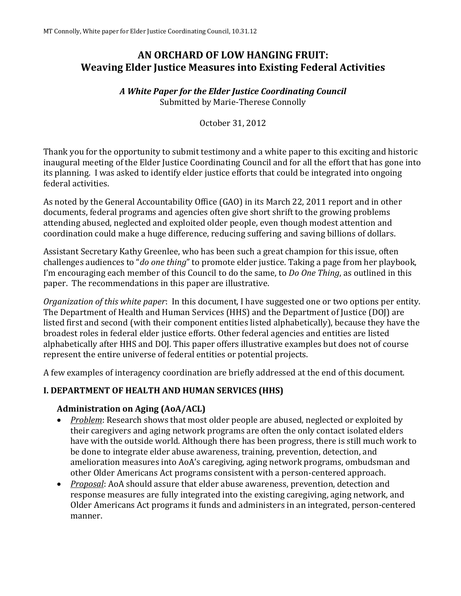# **AN ORCHARD OF LOW HANGING FRUIT: Weaving Elder Justice Measures into Existing Federal Activities**

#### *A White Paper for the Elder Justice Coordinating Council*  Submitted by Marie-Therese Connolly

October 31, 2012

Thank you for the opportunity to submit testimony and a white paper to this exciting and historic inaugural meeting of the Elder Justice Coordinating Council and for all the effort that has gone into its planning. I was asked to identify elder justice efforts that could be integrated into ongoing federal activities.

As noted by the General Accountability Office (GAO) in its March 22, 2011 report and in other documents, federal programs and agencies often give short shrift to the growing problems attending abused, neglected and exploited older people, even though modest attention and coordination could make a huge difference, reducing suffering and saving billions of dollars.

Assistant Secretary Kathy Greenlee, who has been such a great champion for this issue, often challenges audiences to "*do one thing*" to promote elder justice. Taking a page from her playbook, I'm encouraging each member of this Council to do the same, to *Do One Thing*, as outlined in this paper. The recommendations in this paper are illustrative.

*Organization of this white paper*: In this document, I have suggested one or two options per entity. The Department of Health and Human Services (HHS) and the Department of Justice (DOJ) are listed first and second (with their component entities listed alphabetically), because they have the broadest roles in federal elder justice efforts. Other federal agencies and entities are listed alphabetically after HHS and DOJ. This paper offers illustrative examples but does not of course represent the entire universe of federal entities or potential projects.

A few examples of interagency coordination are briefly addressed at the end of this document.

### **I. DEPARTMENT OF HEALTH AND HUMAN SERVICES (HHS)**

### **Administration on Aging (AoA/ACL)**

- *Problem*: Research shows that most older people are abused, neglected or exploited by their caregivers and aging network programs are often the only contact isolated elders have with the outside world. Although there has been progress, there is still much work to be done to integrate elder abuse awareness, training, prevention, detection, and amelioration measures into AoA's caregiving, aging network programs, ombudsman and other Older Americans Act programs consistent with a person-centered approach.
- *Proposal*: AoA should assure that elder abuse awareness, prevention, detection and response measures are fully integrated into the existing caregiving, aging network, and Older Americans Act programs it funds and administers in an integrated, person-centered manner.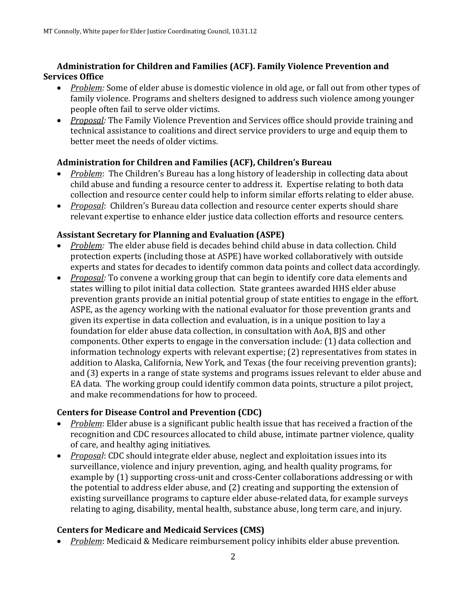### **Administration for Children and Families (ACF). Family Violence Prevention and Services Office**

- *Problem:* Some of elder abuse is domestic violence in old age, or fall out from other types of family violence. Programs and shelters designed to address such violence among younger people often fail to serve older victims.
- *Proposal:* The Family Violence Prevention and Services office should provide training and technical assistance to coalitions and direct service providers to urge and equip them to better meet the needs of older victims.

### **Administration for Children and Families (ACF), Children's Bureau**

- *Problem*: The Children's Bureau has a long history of leadership in collecting data about child abuse and funding a resource center to address it. Expertise relating to both data collection and resource center could help to inform similar efforts relating to elder abuse.
- *Proposal*: Children's Bureau data collection and resource center experts should share relevant expertise to enhance elder justice data collection efforts and resource centers.

### **Assistant Secretary for Planning and Evaluation (ASPE)**

- *Problem:* The elder abuse field is decades behind child abuse in data collection. Child protection experts (including those at ASPE) have worked collaboratively with outside experts and states for decades to identify common data points and collect data accordingly.
- *Proposal:* To convene a working group that can begin to identify core data elements and states willing to pilot initial data collection. State grantees awarded HHS elder abuse prevention grants provide an initial potential group of state entities to engage in the effort. ASPE, as the agency working with the national evaluator for those prevention grants and given its expertise in data collection and evaluation, is in a unique position to lay a foundation for elder abuse data collection, in consultation with AoA, BJS and other components. Other experts to engage in the conversation include: (1) data collection and information technology experts with relevant expertise; (2) representatives from states in addition to Alaska, California, New York, and Texas (the four receiving prevention grants); and (3) experts in a range of state systems and programs issues relevant to elder abuse and EA data. The working group could identify common data points, structure a pilot project, and make recommendations for how to proceed.

### **Centers for Disease Control and Prevention (CDC)**

- *Problem*: Elder abuse is a significant public health issue that has received a fraction of the recognition and CDC resources allocated to child abuse, intimate partner violence, quality of care, and healthy aging initiatives.
- *Proposal*: CDC should integrate elder abuse, neglect and exploitation issues into its surveillance, violence and injury prevention, aging, and health quality programs, for example by (1) supporting cross-unit and cross-Center collaborations addressing or with the potential to address elder abuse, and (2) creating and supporting the extension of existing surveillance programs to capture elder abuse-related data, for example surveys relating to aging, disability, mental health, substance abuse, long term care, and injury.

# **Centers for Medicare and Medicaid Services (CMS)**

*Problem*: Medicaid & Medicare reimbursement policy inhibits elder abuse prevention.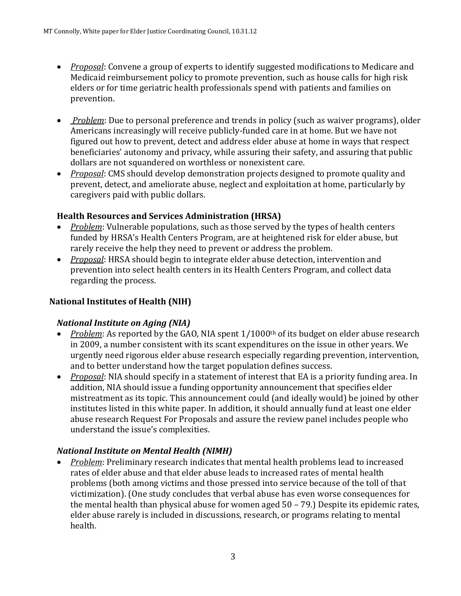- *Proposal*: Convene a group of experts to identify suggested modifications to Medicare and Medicaid reimbursement policy to promote prevention, such as house calls for high risk elders or for time geriatric health professionals spend with patients and families on prevention.
- *Problem*: Due to personal preference and trends in policy (such as waiver programs), older Americans increasingly will receive publicly-funded care in at home. But we have not figured out how to prevent, detect and address elder abuse at home in ways that respect beneficiaries' autonomy and privacy, while assuring their safety, and assuring that public dollars are not squandered on worthless or nonexistent care.
- *Proposal*: CMS should develop demonstration projects designed to promote quality and prevent, detect, and ameliorate abuse, neglect and exploitation at home, particularly by caregivers paid with public dollars.

### **Health Resources and Services Administration (HRSA)**

- *Problem*: Vulnerable populations, such as those served by the types of health centers funded by HRSA's Health Centers Program, are at heightened risk for elder abuse, but rarely receive the help they need to prevent or address the problem.
- *Proposal*: HRSA should begin to integrate elder abuse detection, intervention and prevention into select health centers in its Health Centers Program, and collect data regarding the process.

# **National Institutes of Health (NIH)**

### *National Institute on Aging (NIA)*

- *Problem*: As reported by the GAO, NIA spent 1/1000<sup>th</sup> of its budget on elder abuse research in 2009, a number consistent with its scant expenditures on the issue in other years. We urgently need rigorous elder abuse research especially regarding prevention, intervention, and to better understand how the target population defines success.
- *Proposal*: NIA should specify in a statement of interest that EA is a priority funding area. In addition, NIA should issue a funding opportunity announcement that specifies elder mistreatment as its topic. This announcement could (and ideally would) be joined by other institutes listed in this white paper. In addition, it should annually fund at least one elder abuse research Request For Proposals and assure the review panel includes people who understand the issue's complexities.

### *National Institute on Mental Health (NIMH)*

 *Problem*: Preliminary research indicates that mental health problems lead to increased rates of elder abuse and that elder abuse leads to increased rates of mental health problems (both among victims and those pressed into service because of the toll of that victimization). (One study concludes that verbal abuse has even worse consequences for the mental health than physical abuse for women aged 50 – 79.) Despite its epidemic rates, elder abuse rarely is included in discussions, research, or programs relating to mental health.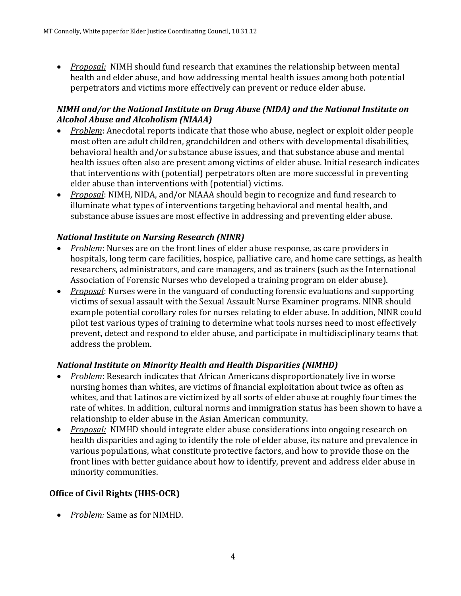*Proposal:* NIMH should fund research that examines the relationship between mental health and elder abuse, and how addressing mental health issues among both potential perpetrators and victims more effectively can prevent or reduce elder abuse.

### *NIMH and/or the National Institute on Drug Abuse (NIDA) and the National Institute on Alcohol Abuse and Alcoholism (NIAAA)*

- *Problem*: Anecdotal reports indicate that those who abuse, neglect or exploit older people most often are adult children, grandchildren and others with developmental disabilities, behavioral health and/or substance abuse issues, and that substance abuse and mental health issues often also are present among victims of elder abuse. Initial research indicates that interventions with (potential) perpetrators often are more successful in preventing elder abuse than interventions with (potential) victims.
- *Proposal*: NIMH, NIDA, and/or NIAAA should begin to recognize and fund research to illuminate what types of interventions targeting behavioral and mental health, and substance abuse issues are most effective in addressing and preventing elder abuse.

### *National Institute on Nursing Research (NINR)*

- *Problem*: Nurses are on the front lines of elder abuse response, as care providers in hospitals, long term care facilities, hospice, palliative care, and home care settings, as health researchers, administrators, and care managers, and as trainers (such as the International Association of Forensic Nurses who developed a training program on elder abuse).
- *Proposal*: Nurses were in the vanguard of conducting forensic evaluations and supporting victims of sexual assault with the Sexual Assault Nurse Examiner programs. NINR should example potential corollary roles for nurses relating to elder abuse. In addition, NINR could pilot test various types of training to determine what tools nurses need to most effectively prevent, detect and respond to elder abuse, and participate in multidisciplinary teams that address the problem.

# *National Institute on Minority Health and Health Disparities (NIMHD)*

- *Problem*: Research indicates that African Americans disproportionately live in worse nursing homes than whites, are victims of financial exploitation about twice as often as whites, and that Latinos are victimized by all sorts of elder abuse at roughly four times the rate of whites. In addition, cultural norms and immigration status has been shown to have a relationship to elder abuse in the Asian American community.
- *Proposal:* NIMHD should integrate elder abuse considerations into ongoing research on health disparities and aging to identify the role of elder abuse, its nature and prevalence in various populations, what constitute protective factors, and how to provide those on the front lines with better guidance about how to identify, prevent and address elder abuse in minority communities.

# **Office of Civil Rights (HHS-OCR)**

*Problem:* Same as for NIMHD.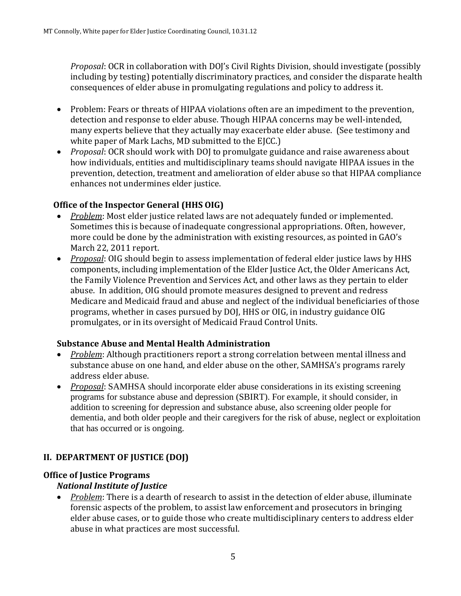*Proposal*: OCR in collaboration with DOJ's Civil Rights Division, should investigate (possibly including by testing) potentially discriminatory practices, and consider the disparate health consequences of elder abuse in promulgating regulations and policy to address it.

- Problem: Fears or threats of HIPAA violations often are an impediment to the prevention, detection and response to elder abuse. Though HIPAA concerns may be well-intended, many experts believe that they actually may exacerbate elder abuse. (See testimony and white paper of Mark Lachs, MD submitted to the EJCC.)
- *Proposal*: OCR should work with DOJ to promulgate guidance and raise awareness about how individuals, entities and multidisciplinary teams should navigate HIPAA issues in the prevention, detection, treatment and amelioration of elder abuse so that HIPAA compliance enhances not undermines elder justice.

### **Office of the Inspector General (HHS OIG)**

- *Problem*: Most elder justice related laws are not adequately funded or implemented. Sometimes this is because of inadequate congressional appropriations. Often, however, more could be done by the administration with existing resources, as pointed in GAO's March 22, 2011 report.
- *Proposal*: OIG should begin to assess implementation of federal elder justice laws by HHS components, including implementation of the Elder Justice Act, the Older Americans Act, the Family Violence Prevention and Services Act, and other laws as they pertain to elder abuse. In addition, OIG should promote measures designed to prevent and redress Medicare and Medicaid fraud and abuse and neglect of the individual beneficiaries of those programs, whether in cases pursued by DOJ, HHS or OIG, in industry guidance OIG promulgates, or in its oversight of Medicaid Fraud Control Units.

### **Substance Abuse and Mental Health Administration**

- *Problem*: Although practitioners report a strong correlation between mental illness and substance abuse on one hand, and elder abuse on the other, SAMHSA's programs rarely address elder abuse.
- *Proposal*: SAMHSA should incorporate elder abuse considerations in its existing screening programs for substance abuse and depression (SBIRT). For example, it should consider, in addition to screening for depression and substance abuse, also screening older people for dementia, and both older people and their caregivers for the risk of abuse, neglect or exploitation that has occurred or is ongoing.

# **II. DEPARTMENT OF JUSTICE (DOJ)**

### **Office of Justice Programs**

### *National Institute of Justice*

 *Problem*: There is a dearth of research to assist in the detection of elder abuse, illuminate forensic aspects of the problem, to assist law enforcement and prosecutors in bringing elder abuse cases, or to guide those who create multidisciplinary centers to address elder abuse in what practices are most successful.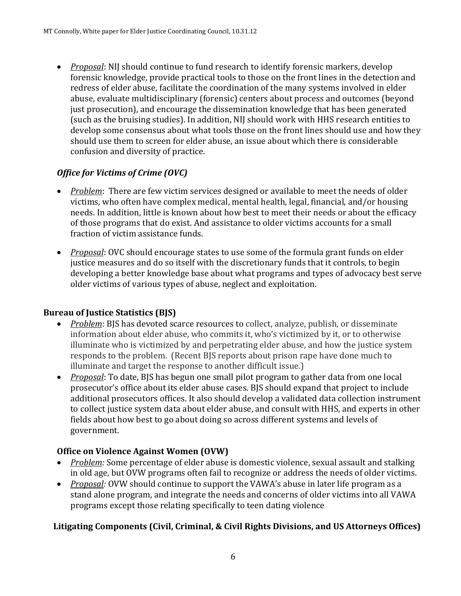*Proposal*: NIJ should continue to fund research to identify forensic markers, develop forensic knowledge, provide practical tools to those on the front lines in the detection and redress of elder abuse, facilitate the coordination of the many systems involved in elder abuse, evaluate multidisciplinary (forensic) centers about process and outcomes (beyond just prosecution), and encourage the dissemination knowledge that has been generated (such as the bruising studies). In addition, NIJ should work with HHS research entities to develop some consensus about what tools those on the front lines should use and how they should use them to screen for elder abuse, an issue about which there is considerable confusion and diversity of practice.

# *Office for Victims of Crime (OVC)*

- *Problem*: There are few victim services designed or available to meet the needs of older victims, who often have complex medical, mental health, legal, financial, and/or housing needs. In addition, little is known about how best to meet their needs or about the efficacy of those programs that do exist. And assistance to older victims accounts for a small fraction of victim assistance funds.
- *Proposal*: OVC should encourage states to use some of the formula grant funds on elder justice measures and do so itself with the discretionary funds that it controls, to begin developing a better knowledge base about what programs and types of advocacy best serve older victims of various types of abuse, neglect and exploitation.

### **Bureau of Justice Statistics (BJS)**

- *Problem*: BJS has devoted scarce resources to collect, analyze, publish, or disseminate information about elder abuse, who commits it, who's victimized by it, or to otherwise illuminate who is victimized by and perpetrating elder abuse, and how the justice system responds to the problem. (Recent BJS reports about prison rape have done much to illuminate and target the response to another difficult issue.)
- *Proposal*: To date, BJS has begun one small pilot program to gather data from one local prosecutor's office about its elder abuse cases. BJS should expand that project to include additional prosecutors offices. It also should develop a validated data collection instrument to collect justice system data about elder abuse, and consult with HHS, and experts in other fields about how best to go about doing so across different systems and levels of government.

### **Office on Violence Against Women (OVW)**

- *Problem:* Some percentage of elder abuse is domestic violence, sexual assault and stalking in old age, but OVW programs often fail to recognize or address the needs of older victims.
- *Proposal:* OVW should continue to support the VAWA's abuse in later life program as a stand alone program, and integrate the needs and concerns of older victims into all VAWA programs except those relating specifically to teen dating violence

# **Litigating Components (Civil, Criminal, & Civil Rights Divisions, and US Attorneys Offices)**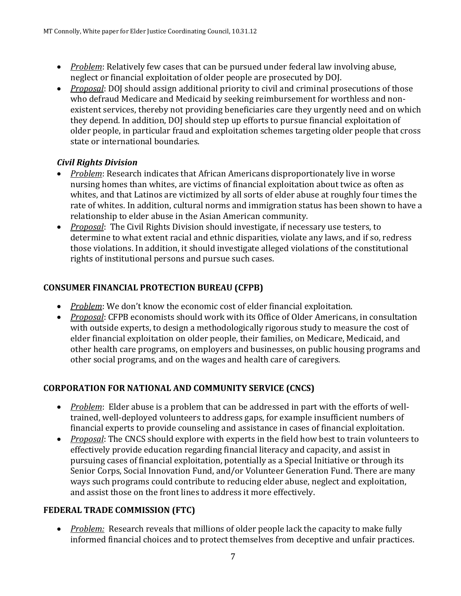- *Problem*: Relatively few cases that can be pursued under federal law involving abuse, neglect or financial exploitation of older people are prosecuted by DOJ.
- *Proposal*: DOJ should assign additional priority to civil and criminal prosecutions of those who defraud Medicare and Medicaid by seeking reimbursement for worthless and nonexistent services, thereby not providing beneficiaries care they urgently need and on which they depend. In addition, DOJ should step up efforts to pursue financial exploitation of older people, in particular fraud and exploitation schemes targeting older people that cross state or international boundaries.

### *Civil Rights Division*

- *Problem*: Research indicates that African Americans disproportionately live in worse nursing homes than whites, are victims of financial exploitation about twice as often as whites, and that Latinos are victimized by all sorts of elder abuse at roughly four times the rate of whites. In addition, cultural norms and immigration status has been shown to have a relationship to elder abuse in the Asian American community.
- *Proposal*: The Civil Rights Division should investigate, if necessary use testers, to determine to what extent racial and ethnic disparities, violate any laws, and if so, redress those violations. In addition, it should investigate alleged violations of the constitutional rights of institutional persons and pursue such cases.

# **CONSUMER FINANCIAL PROTECTION BUREAU (CFPB)**

- *Problem*: We don't know the economic cost of elder financial exploitation.
- *Proposal*: CFPB economists should work with its Office of Older Americans, in consultation with outside experts, to design a methodologically rigorous study to measure the cost of elder financial exploitation on older people, their families, on Medicare, Medicaid, and other health care programs, on employers and businesses, on public housing programs and other social programs, and on the wages and health care of caregivers.

# **CORPORATION FOR NATIONAL AND COMMUNITY SERVICE (CNCS)**

- *Problem*: Elder abuse is a problem that can be addressed in part with the efforts of welltrained, well-deployed volunteers to address gaps, for example insufficient numbers of financial experts to provide counseling and assistance in cases of financial exploitation.
- *Proposal*: The CNCS should explore with experts in the field how best to train volunteers to effectively provide education regarding financial literacy and capacity, and assist in pursuing cases of financial exploitation, potentially as a Special Initiative or through its Senior Corps, Social Innovation Fund, and/or Volunteer Generation Fund. There are many ways such programs could contribute to reducing elder abuse, neglect and exploitation, and assist those on the front lines to address it more effectively.

### **FEDERAL TRADE COMMISSION (FTC)**

• *Problem:* Research reveals that millions of older people lack the capacity to make fully informed financial choices and to protect themselves from deceptive and unfair practices.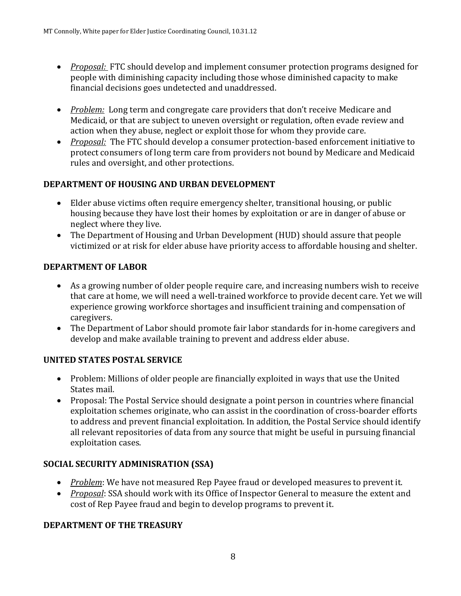- *Proposal:* FTC should develop and implement consumer protection programs designed for people with diminishing capacity including those whose diminished capacity to make financial decisions goes undetected and unaddressed.
- *Problem:* Long term and congregate care providers that don't receive Medicare and Medicaid, or that are subject to uneven oversight or regulation, often evade review and action when they abuse, neglect or exploit those for whom they provide care.
- *Proposal:* The FTC should develop a consumer protection-based enforcement initiative to protect consumers of long term care from providers not bound by Medicare and Medicaid rules and oversight, and other protections.

### **DEPARTMENT OF HOUSING AND URBAN DEVELOPMENT**

- Elder abuse victims often require emergency shelter, transitional housing, or public housing because they have lost their homes by exploitation or are in danger of abuse or neglect where they live.
- The Department of Housing and Urban Development (HUD) should assure that people victimized or at risk for elder abuse have priority access to affordable housing and shelter.

### **DEPARTMENT OF LABOR**

- As a growing number of older people require care, and increasing numbers wish to receive that care at home, we will need a well-trained workforce to provide decent care. Yet we will experience growing workforce shortages and insufficient training and compensation of caregivers.
- The Department of Labor should promote fair labor standards for in-home caregivers and develop and make available training to prevent and address elder abuse.

### **UNITED STATES POSTAL SERVICE**

- Problem: Millions of older people are financially exploited in ways that use the United States mail.
- Proposal: The Postal Service should designate a point person in countries where financial exploitation schemes originate, who can assist in the coordination of cross-boarder efforts to address and prevent financial exploitation. In addition, the Postal Service should identify all relevant repositories of data from any source that might be useful in pursuing financial exploitation cases.

### **SOCIAL SECURITY ADMINISRATION (SSA)**

- *Problem*: We have not measured Rep Payee fraud or developed measures to prevent it.
- *Proposal*: SSA should work with its Office of Inspector General to measure the extent and cost of Rep Payee fraud and begin to develop programs to prevent it.

### **DEPARTMENT OF THE TREASURY**